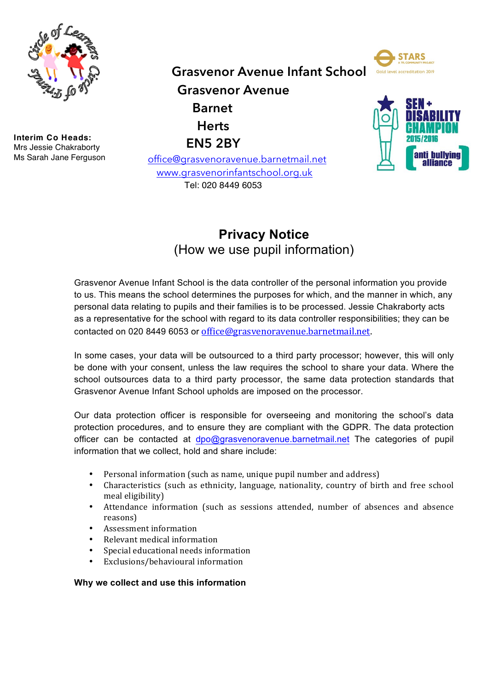

**Interim Co Heads:** Mrs Jessie Chakraborty Ms Sarah Jane Ferguson **Grasvenor Avenue Infant School**

**Grasvenor Avenue Barnet Herts EN5 2BY**

 office@grasvenoravenue.barnetmail.net www.grasvenorinfantschool.org.uk Tel: 020 8449 6053





# **Privacy Notice**  (How we use pupil information)

Grasvenor Avenue Infant School is the data controller of the personal information you provide to us. This means the school determines the purposes for which, and the manner in which, any personal data relating to pupils and their families is to be processed. Jessie Chakraborty acts as a representative for the school with regard to its data controller responsibilities; they can be contacted on 020 8449 6053 or office@grasvenoravenue.barnetmail.net. 

In some cases, your data will be outsourced to a third party processor; however, this will only be done with your consent, unless the law requires the school to share your data. Where the school outsources data to a third party processor, the same data protection standards that Grasvenor Avenue Infant School upholds are imposed on the processor.

Our data protection officer is responsible for overseeing and monitoring the school's data protection procedures, and to ensure they are compliant with the GDPR. The data protection officer can be contacted at dpo@grasvenoravenue.barnetmail.net The categories of pupil information that we collect, hold and share include:

- Personal information (such as name, unique pupil number and address)
- Characteristics (such as ethnicity, language, nationality, country of birth and free school meal eligibility)
- Attendance information (such as sessions attended, number of absences and absence reasons)
- Assessment information
- Relevant medical information
- Special educational needs information
- Exclusions/behavioural information

# **Why we collect and use this information**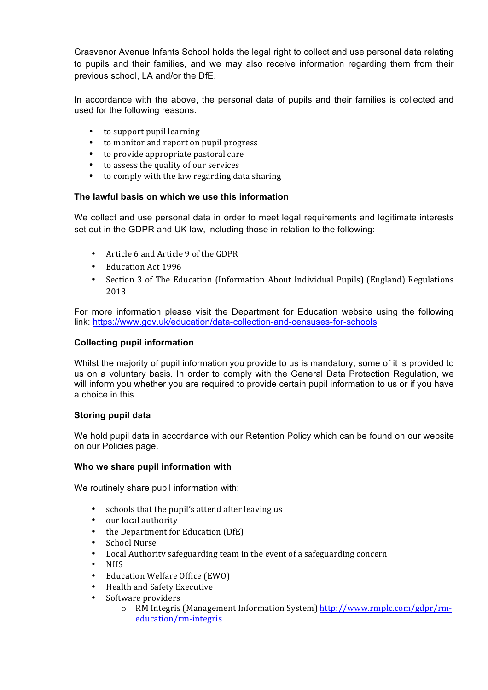Grasvenor Avenue Infants School holds the legal right to collect and use personal data relating to pupils and their families, and we may also receive information regarding them from their previous school, LA and/or the DfE.

In accordance with the above, the personal data of pupils and their families is collected and used for the following reasons:

- to support pupil learning
- to monitor and report on pupil progress
- to provide appropriate pastoral care
- to assess the quality of our services
- to comply with the law regarding data sharing

# **The lawful basis on which we use this information**

We collect and use personal data in order to meet legal requirements and legitimate interests set out in the GDPR and UK law, including those in relation to the following:

- Article 6 and Article 9 of the GDPR
- Education Act 1996
- Section 3 of The Education (Information About Individual Pupils) (England) Regulations 2013

For more information please visit the Department for Education website using the following link: https://www.gov.uk/education/data-collection-and-censuses-for-schools

## **Collecting pupil information**

Whilst the majority of pupil information you provide to us is mandatory, some of it is provided to us on a voluntary basis. In order to comply with the General Data Protection Regulation, we will inform you whether you are required to provide certain pupil information to us or if you have a choice in this.

# **Storing pupil data**

We hold pupil data in accordance with our Retention Policy which can be found on our website on our Policies page.

#### **Who we share pupil information with**

We routinely share pupil information with:

- schools that the pupil's attend after leaving us
- our local authority
- the Department for Education (DfE)
- School Nurse
- Local Authority safeguarding team in the event of a safeguarding concern
- NHS
- Education Welfare Office (EWO)
- Health and Safety Executive
- Software providers
	- o RM Integris (Management Information System) http://www.rmplc.com/gdpr/rmeducation/rm-integris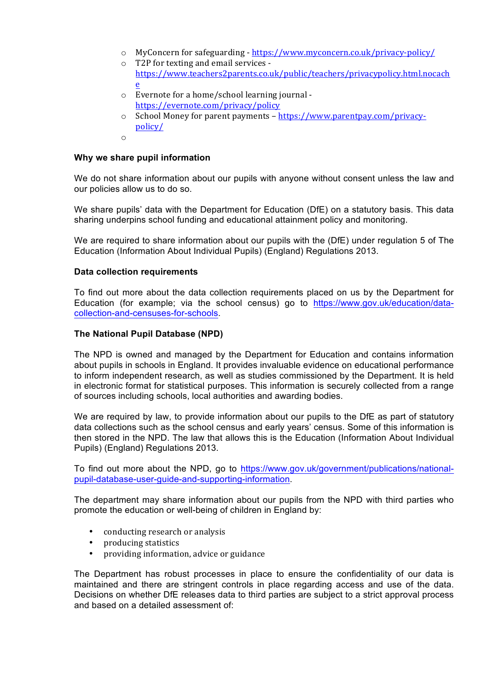- $\circ$  MyConcern for safeguarding https://www.myconcern.co.uk/privacy-policy/
- $\circ$  T2P for texting and email services https://www.teachers2parents.co.uk/public/teachers/privacypolicy.html.nocach e
- $\circ$  Evernote for a home/school learning journal https://evernote.com/privacy/policy
- $\circ$  School Money for parent payments https://www.parentpay.com/privacypolicy/
- o

### **Why we share pupil information**

We do not share information about our pupils with anyone without consent unless the law and our policies allow us to do so.

We share pupils' data with the Department for Education (DfE) on a statutory basis. This data sharing underpins school funding and educational attainment policy and monitoring.

We are required to share information about our pupils with the (DfE) under requiation 5 of The Education (Information About Individual Pupils) (England) Regulations 2013.

### **Data collection requirements**

To find out more about the data collection requirements placed on us by the Department for Education (for example; via the school census) go to https://www.gov.uk/education/datacollection-and-censuses-for-schools.

### **The National Pupil Database (NPD)**

The NPD is owned and managed by the Department for Education and contains information about pupils in schools in England. It provides invaluable evidence on educational performance to inform independent research, as well as studies commissioned by the Department. It is held in electronic format for statistical purposes. This information is securely collected from a range of sources including schools, local authorities and awarding bodies.

We are required by law, to provide information about our pupils to the DfE as part of statutory data collections such as the school census and early years' census. Some of this information is then stored in the NPD. The law that allows this is the Education (Information About Individual Pupils) (England) Regulations 2013.

To find out more about the NPD, go to https://www.gov.uk/government/publications/nationalpupil-database-user-guide-and-supporting-information.

The department may share information about our pupils from the NPD with third parties who promote the education or well-being of children in England by:

- conducting research or analysis
- producing statistics
- providing information, advice or guidance

The Department has robust processes in place to ensure the confidentiality of our data is maintained and there are stringent controls in place regarding access and use of the data. Decisions on whether DfE releases data to third parties are subject to a strict approval process and based on a detailed assessment of: